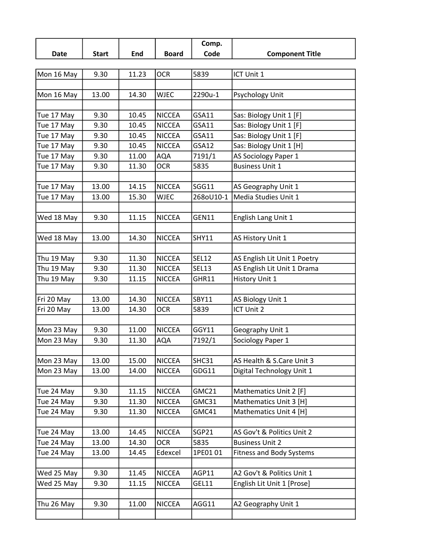|            |              |       |               | Comp.        |                                 |
|------------|--------------|-------|---------------|--------------|---------------------------------|
| Date       | <b>Start</b> | End   | <b>Board</b>  | Code         | <b>Component Title</b>          |
|            |              |       |               |              |                                 |
| Mon 16 May | 9.30         | 11.23 | <b>OCR</b>    | 5839         | ICT Unit 1                      |
|            |              |       |               |              |                                 |
| Mon 16 May | 13.00        | 14.30 | <b>WJEC</b>   | 2290u-1      | Psychology Unit                 |
|            |              |       |               |              |                                 |
| Tue 17 May | 9.30         | 10.45 | <b>NICCEA</b> | <b>GSA11</b> | Sas: Biology Unit 1 [F]         |
| Tue 17 May | 9.30         | 10.45 | <b>NICCEA</b> | GSA11        | Sas: Biology Unit 1 [F]         |
| Tue 17 May | 9.30         | 10.45 | <b>NICCEA</b> | <b>GSA11</b> | Sas: Biology Unit 1 [F]         |
| Tue 17 May | 9.30         | 10.45 | <b>NICCEA</b> | <b>GSA12</b> | Sas: Biology Unit 1 [H]         |
| Tue 17 May | 9.30         | 11.00 | <b>AQA</b>    | 7191/1       | AS Sociology Paper 1            |
| Tue 17 May | 9.30         | 11.30 | <b>OCR</b>    | 5835         | <b>Business Unit 1</b>          |
|            |              |       |               |              |                                 |
| Tue 17 May | 13.00        | 14.15 | <b>NICCEA</b> | SGG11        | AS Geography Unit 1             |
| Tue 17 May | 13.00        | 15.30 | <b>WJEC</b>   | 268oU10-1    | Media Studies Unit 1            |
|            |              |       |               |              |                                 |
| Wed 18 May | 9.30         | 11.15 | <b>NICCEA</b> | GEN11        | English Lang Unit 1             |
|            |              |       |               |              |                                 |
| Wed 18 May | 13.00        | 14.30 | <b>NICCEA</b> | <b>SHY11</b> | AS History Unit 1               |
|            |              |       |               |              |                                 |
| Thu 19 May | 9.30         | 11.30 | <b>NICCEA</b> | <b>SEL12</b> | AS English Lit Unit 1 Poetry    |
| Thu 19 May | 9.30         | 11.30 | <b>NICCEA</b> | <b>SEL13</b> | AS English Lit Unit 1 Drama     |
| Thu 19 May | 9.30         | 11.15 | <b>NICCEA</b> | GHR11        | History Unit 1                  |
|            |              |       |               |              |                                 |
| Fri 20 May | 13.00        | 14.30 | <b>NICCEA</b> | <b>SBY11</b> | AS Biology Unit 1               |
| Fri 20 May | 13.00        | 14.30 | <b>OCR</b>    | 5839         | ICT Unit 2                      |
|            |              |       |               |              |                                 |
| Mon 23 May | 9.30         | 11.00 | <b>NICCEA</b> | GGY11        | Geography Unit 1                |
| Mon 23 May | 9.30         | 11.30 | <b>AQA</b>    | 7192/1       | Sociology Paper 1               |
|            |              |       |               |              |                                 |
| Mon 23 May | 13.00        | 15.00 | <b>NICCEA</b> | SHC31        | AS Health & S.Care Unit 3       |
| Mon 23 May | 13.00        | 14.00 | <b>NICCEA</b> | GDG11        | Digital Technology Unit 1       |
|            |              |       |               |              |                                 |
| Tue 24 May | 9.30         | 11.15 | <b>NICCEA</b> | GMC21        | Mathematics Unit 2 [F]          |
| Tue 24 May | 9.30         | 11.30 | <b>NICCEA</b> | GMC31        | Mathematics Unit 3 [H]          |
| Tue 24 May | 9.30         | 11.30 | <b>NICCEA</b> | GMC41        | Mathematics Unit 4 [H]          |
|            |              |       |               |              |                                 |
| Tue 24 May | 13.00        | 14.45 | <b>NICCEA</b> | SGP21        | AS Gov't & Politics Unit 2      |
| Tue 24 May | 13.00        | 14.30 | <b>OCR</b>    | 5835         | <b>Business Unit 2</b>          |
| Tue 24 May | 13.00        | 14.45 | Edexcel       | 1PE0101      | <b>Fitness and Body Systems</b> |
|            |              |       |               |              |                                 |
| Wed 25 May | 9.30         | 11.45 | <b>NICCEA</b> | AGP11        | A2 Gov't & Politics Unit 1      |
| Wed 25 May | 9.30         | 11.15 | <b>NICCEA</b> | GEL11        | English Lit Unit 1 [Prose]      |
|            |              |       |               |              |                                 |
| Thu 26 May | 9.30         | 11.00 | <b>NICCEA</b> | AGG11        | A2 Geography Unit 1             |
|            |              |       |               |              |                                 |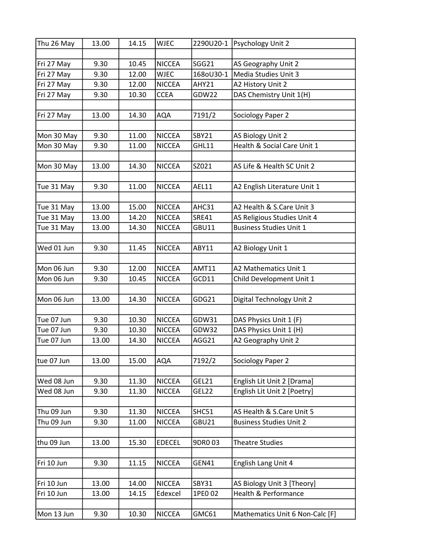| Thu 26 May | 13.00 | 14.15 | <b>WJEC</b>   |              | 2290U20-1   Psychology Unit 2   |
|------------|-------|-------|---------------|--------------|---------------------------------|
|            |       |       |               |              |                                 |
| Fri 27 May | 9.30  | 10.45 | <b>NICCEA</b> | SGG21        | AS Geography Unit 2             |
| Fri 27 May | 9.30  | 12.00 | <b>WJEC</b>   | 168oU30-1    | Media Studies Unit 3            |
| Fri 27 May | 9.30  | 12.00 | <b>NICCEA</b> | AHY21        | A2 History Unit 2               |
| Fri 27 May | 9.30  | 10.30 | <b>CCEA</b>   | GDW22        | DAS Chemistry Unit 1(H)         |
|            |       |       |               |              |                                 |
| Fri 27 May | 13.00 | 14.30 | <b>AQA</b>    | 7191/2       | Sociology Paper 2               |
|            |       |       |               |              |                                 |
| Mon 30 May | 9.30  | 11.00 | <b>NICCEA</b> | <b>SBY21</b> | AS Biology Unit 2               |
| Mon 30 May | 9.30  | 11.00 | <b>NICCEA</b> | GHL11        | Health & Social Care Unit 1     |
|            |       |       |               |              |                                 |
| Mon 30 May | 13.00 | 14.30 | <b>NICCEA</b> | SZ021        | AS Life & Health SC Unit 2      |
|            |       |       |               |              |                                 |
| Tue 31 May | 9.30  | 11.00 | <b>NICCEA</b> | AEL11        | A2 English Literature Unit 1    |
|            |       |       |               |              |                                 |
| Tue 31 May | 13.00 | 15.00 | <b>NICCEA</b> | AHC31        | A2 Health & S.Care Unit 3       |
| Tue 31 May | 13.00 | 14.20 | <b>NICCEA</b> | <b>SRE41</b> | AS Religious Studies Unit 4     |
| Tue 31 May | 13.00 | 14.30 | <b>NICCEA</b> | <b>GBU11</b> | <b>Business Studies Unit 1</b>  |
|            |       |       |               |              |                                 |
| Wed 01 Jun | 9.30  | 11.45 | <b>NICCEA</b> | ABY11        | A2 Biology Unit 1               |
| Mon 06 Jun |       |       |               |              |                                 |
|            | 9.30  | 12.00 | <b>NICCEA</b> | <b>AMT11</b> | A2 Mathematics Unit 1           |
| Mon 06 Jun | 9.30  | 10.45 | <b>NICCEA</b> | GCD11        | Child Development Unit 1        |
| Mon 06 Jun | 13.00 | 14.30 | <b>NICCEA</b> | GDG21        | Digital Technology Unit 2       |
|            |       |       |               |              |                                 |
| Tue 07 Jun | 9.30  | 10.30 | <b>NICCEA</b> | GDW31        | DAS Physics Unit 1 (F)          |
| Tue 07 Jun | 9.30  | 10.30 | <b>NICCEA</b> | GDW32        | DAS Physics Unit 1 (H)          |
| Tue 07 Jun | 13.00 | 14.30 | <b>NICCEA</b> | AGG21        | A2 Geography Unit 2             |
|            |       |       |               |              |                                 |
| tue 07 Jun | 13.00 | 15.00 | <b>AQA</b>    | 7192/2       | Sociology Paper 2               |
|            |       |       |               |              |                                 |
| Wed 08 Jun | 9.30  | 11.30 | <b>NICCEA</b> | GEL21        | English Lit Unit 2 [Drama]      |
| Wed 08 Jun | 9.30  | 11.30 | <b>NICCEA</b> | GEL22        | English Lit Unit 2 [Poetry]     |
|            |       |       |               |              |                                 |
| Thu 09 Jun | 9.30  | 11.30 | <b>NICCEA</b> | SHC51        | AS Health & S.Care Unit 5       |
| Thu 09 Jun | 9.30  | 11.00 | <b>NICCEA</b> | GBU21        | <b>Business Studies Unit 2</b>  |
|            |       |       |               |              |                                 |
| thu 09 Jun | 13.00 | 15.30 | <b>EDECEL</b> | 9DR0 03      | <b>Theatre Studies</b>          |
|            |       |       |               |              |                                 |
| Fri 10 Jun | 9.30  | 11.15 | <b>NICCEA</b> | GEN41        | English Lang Unit 4             |
|            |       |       |               |              |                                 |
| Fri 10 Jun | 13.00 | 14.00 | <b>NICCEA</b> | <b>SBY31</b> | AS Biology Unit 3 [Theory]      |
| Fri 10 Jun | 13.00 | 14.15 | Edexcel       | 1PE0 02      | Health & Performance            |
|            |       |       |               |              |                                 |
| Mon 13 Jun | 9.30  | 10.30 | <b>NICCEA</b> | GMC61        | Mathematics Unit 6 Non-Calc [F] |